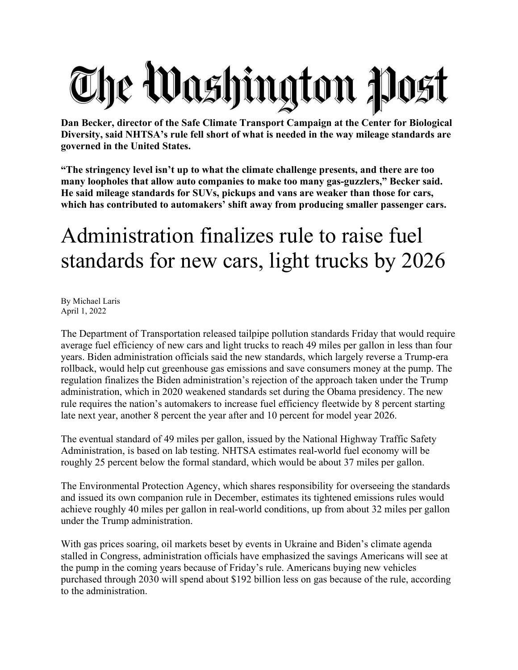## The Washington Post

**Dan Becker, director of the Safe Climate Transport Campaign at the Center for Biological Diversity, said NHTSA's rule fell short of what is needed in the way mileage standards are governed in the United States.**

**"The stringency level isn't up to what the climate challenge presents, and there are too many loopholes that allow auto companies to make too many gas-guzzlers," Becker said. He said mileage standards for SUVs, pickups and vans are weaker than those for cars, which has contributed to automakers' shift away from producing smaller passenger cars.**

## Administration finalizes rule to raise fuel standards for new cars, light trucks by 2026

By Michael Laris April 1, 2022

The Department of Transportation released tailpipe pollution standards Friday that would require average fuel efficiency of new cars and light trucks to reach 49 miles per gallon in less than four years. Biden administration officials said the new standards, which largely reverse a Trump-era rollback, would help cut greenhouse gas emissions and save consumers money at the pump. The regulation finalizes the Biden administration's rejection of the approach taken under the Trump administration, which in 2020 weakened standards set during the Obama presidency. The new rule requires the nation's automakers to increase fuel efficiency fleetwide by 8 percent starting late next year, another 8 percent the year after and 10 percent for model year 2026.

The eventual standard of 49 miles per gallon, issued by the National Highway Traffic Safety Administration, is based on lab testing. NHTSA estimates real-world fuel economy will be roughly 25 percent below the formal standard, which would be about 37 miles per gallon.

The Environmental Protection Agency, which shares responsibility for overseeing the standards and issued its own companion rule in December, estimates its tightened emissions rules would achieve roughly 40 miles per gallon in real-world conditions, up from about 32 miles per gallon under the Trump administration.

With gas prices soaring, oil markets beset by events in Ukraine and Biden's climate agenda stalled in Congress, administration officials have emphasized the savings Americans will see at the pump in the coming years because of Friday's rule. Americans buying new vehicles purchased through 2030 will spend about \$192 billion less on gas because of the rule, according to the administration.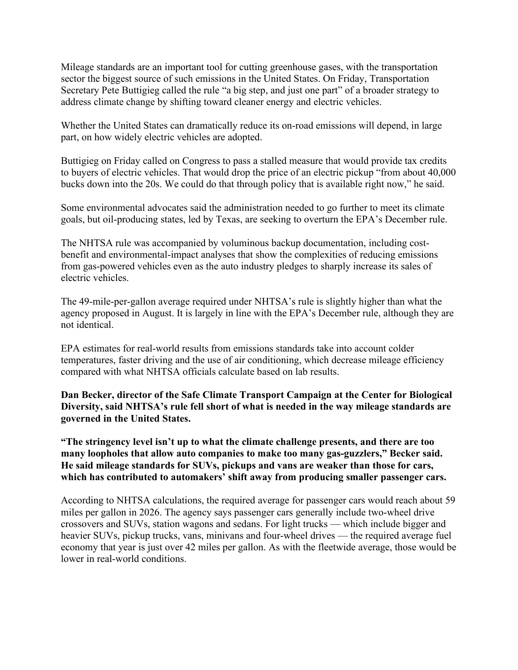Mileage standards are an important tool for cutting greenhouse gases, with the transportation sector the biggest source of such emissions in the United States. On Friday, Transportation Secretary Pete Buttigieg called the rule "a big step, and just one part" of a broader strategy to address climate change by shifting toward cleaner energy and electric vehicles.

Whether the United States can dramatically reduce its on-road emissions will depend, in large part, on how widely electric vehicles are adopted.

Buttigieg on Friday called on Congress to pass a stalled measure that would provide tax credits to buyers of electric vehicles. That would drop the price of an electric pickup "from about 40,000 bucks down into the 20s. We could do that through policy that is available right now," he said.

Some environmental advocates said the administration needed to go further to meet its climate goals, but oil-producing states, led by Texas, are seeking to overturn the EPA's December rule.

The NHTSA rule was accompanied by voluminous backup documentation, including costbenefit and environmental-impact analyses that show the complexities of reducing emissions from gas-powered vehicles even as the auto industry pledges to sharply increase its sales of electric vehicles.

The 49-mile-per-gallon average required under NHTSA's rule is slightly higher than what the agency proposed in August. It is largely in line with the EPA's December rule, although they are not identical.

EPA estimates for real-world results from emissions standards take into account colder temperatures, faster driving and the use of air conditioning, which decrease mileage efficiency compared with what NHTSA officials calculate based on lab results.

**Dan Becker, director of the Safe Climate Transport Campaign at the Center for Biological Diversity, said NHTSA's rule fell short of what is needed in the way mileage standards are governed in the United States.**

**"The stringency level isn't up to what the climate challenge presents, and there are too many loopholes that allow auto companies to make too many gas-guzzlers," Becker said. He said mileage standards for SUVs, pickups and vans are weaker than those for cars, which has contributed to automakers' shift away from producing smaller passenger cars.**

According to NHTSA calculations, the required average for passenger cars would reach about 59 miles per gallon in 2026. The agency says passenger cars generally include two-wheel drive crossovers and SUVs, station wagons and sedans. For light trucks — which include bigger and heavier SUVs, pickup trucks, vans, minivans and four-wheel drives — the required average fuel economy that year is just over 42 miles per gallon. As with the fleetwide average, those would be lower in real-world conditions.